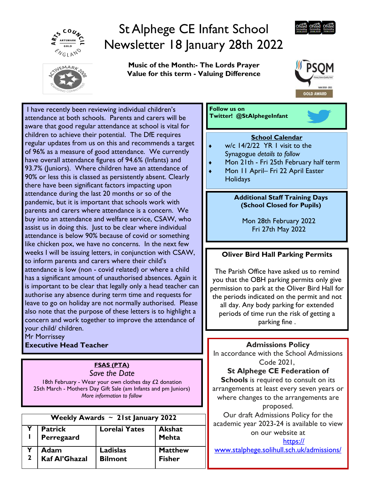

# St Alphege CE Infant School Newsletter 18 January 28th 2022



Music of the Month:- The Lords Prayer Value for this term - Valuing Difference



I have recently been reviewing individual children's attendance at both schools. Parents and carers will be aware that good regular attendance at school is vital for children to achieve their potential. The DfE requires regular updates from us on this and recommends a target of 96% as a measure of good attendance. We currently have overall attendance figures of 94.6% (Infants) and 93.7% (Juniors). Where children have an attendance of 90% or less this is classed as persistently absent. Clearly there have been significant factors impacting upon attendance during the last 20 months or so of the pandemic, but it is important that schools work with parents and carers where attendance is a concern. We buy into an attendance and welfare service, CSAW, who assist us in doing this. Just to be clear where individual attendance is below 90% because of covid or something like chicken pox, we have no concerns. In the next few weeks I will be issuing letters, in conjunction with CSAW, to inform parents and carers where their child's attendance is low (non - covid related) or where a child has a significant amount of unauthorised absences. Again it is important to be clear that legally only a head teacher can authorise any absence during term time and requests for leave to go on holiday are not normally authorised. Please also note that the purpose of these letters is to highlight a concern and work together to improve the attendance of your child/ children.

Mr Morrissey Executive Head Teacher

# FSAS (PTA)

Save the Date 18th February - Wear your own clothes day  $£2$  donation 25th March - Mothers Day Gift Sale (am Infants and pm Juniors) More information to follow

| Weekly Awards $\sim$ 21st January 2022 |                              |                                   |                                 |  |  |  |  |  |
|----------------------------------------|------------------------------|-----------------------------------|---------------------------------|--|--|--|--|--|
|                                        | <b>Patrick</b><br>Perregaard | Lorelai Yates                     | <b>Akshat</b><br>Mehta          |  |  |  |  |  |
|                                        | Adam<br>Kaf Al'Ghazal        | <b>Ladislas</b><br><b>Bilmont</b> | <b>Matthew</b><br><b>Fisher</b> |  |  |  |  |  |

Follow us on Twitter! @StAlphegeInfant

# School Calendar

- $\bullet$  w/c 14/2/22 YR I visit to the Synagogue details to follow
- Mon 21th Fri 25th February half term
- ◆ Mon 11 April– Fri 22 April Easter **Holidays**

#### Additional Staff Training Days (School Closed for Pupils)

Mon 28th February 2022 Fri 27th May 2022

# Oliver Bird Hall Parking Permits

The Parish Office have asked us to remind you that the OBH parking permits only give permission to park at the Oliver Bird Hall for the periods indicated on the permit and not all day. Any body parking for extended periods of time run the risk of getting a parking fine .

## Admissions Policy

In accordance with the School Admissions Code 2021,

## St Alphege CE Federation of

Schools is required to consult on its arrangements at least every seven years or where changes to the arrangements are proposed.

Our draft Admissions Policy for the academic year 2023-24 is available to view on our website at

https://

www.stalphege.solihull.sch.uk/admissions/